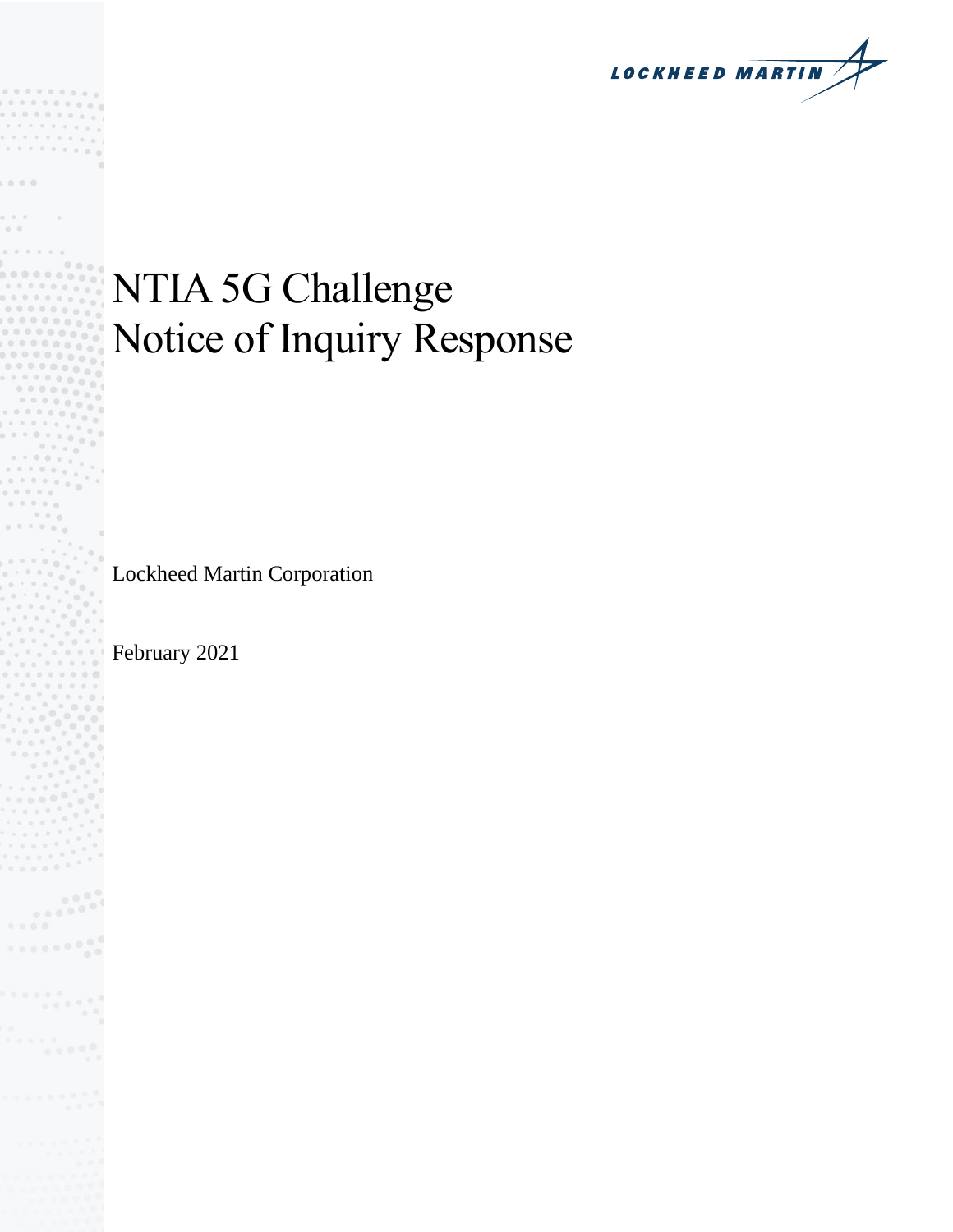**LOCKHEED MARTIN** 

# NTIA 5G Challenge Notice of Inquiry Response

Lockheed Martin Corporation

February 2021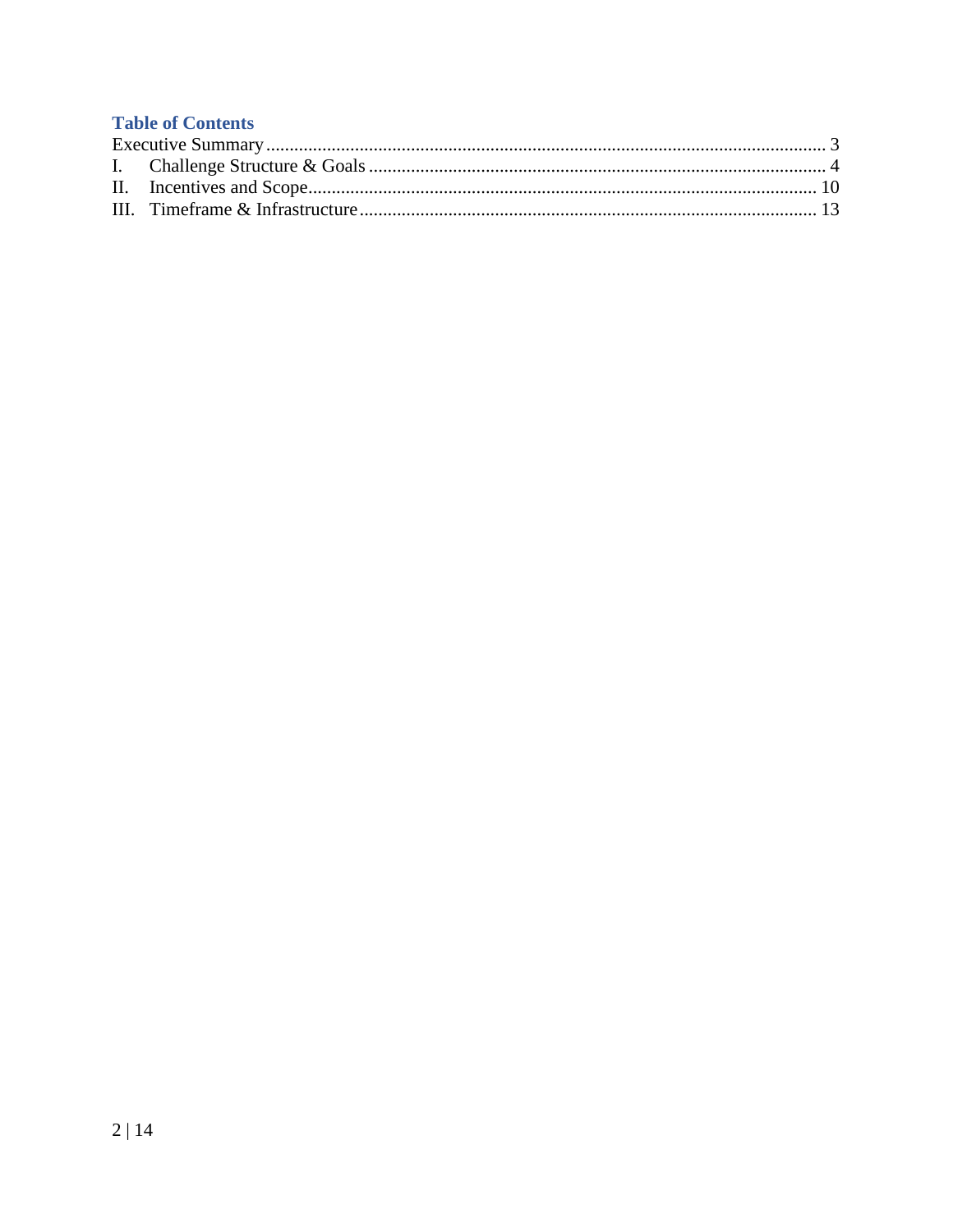## **Table of Contents**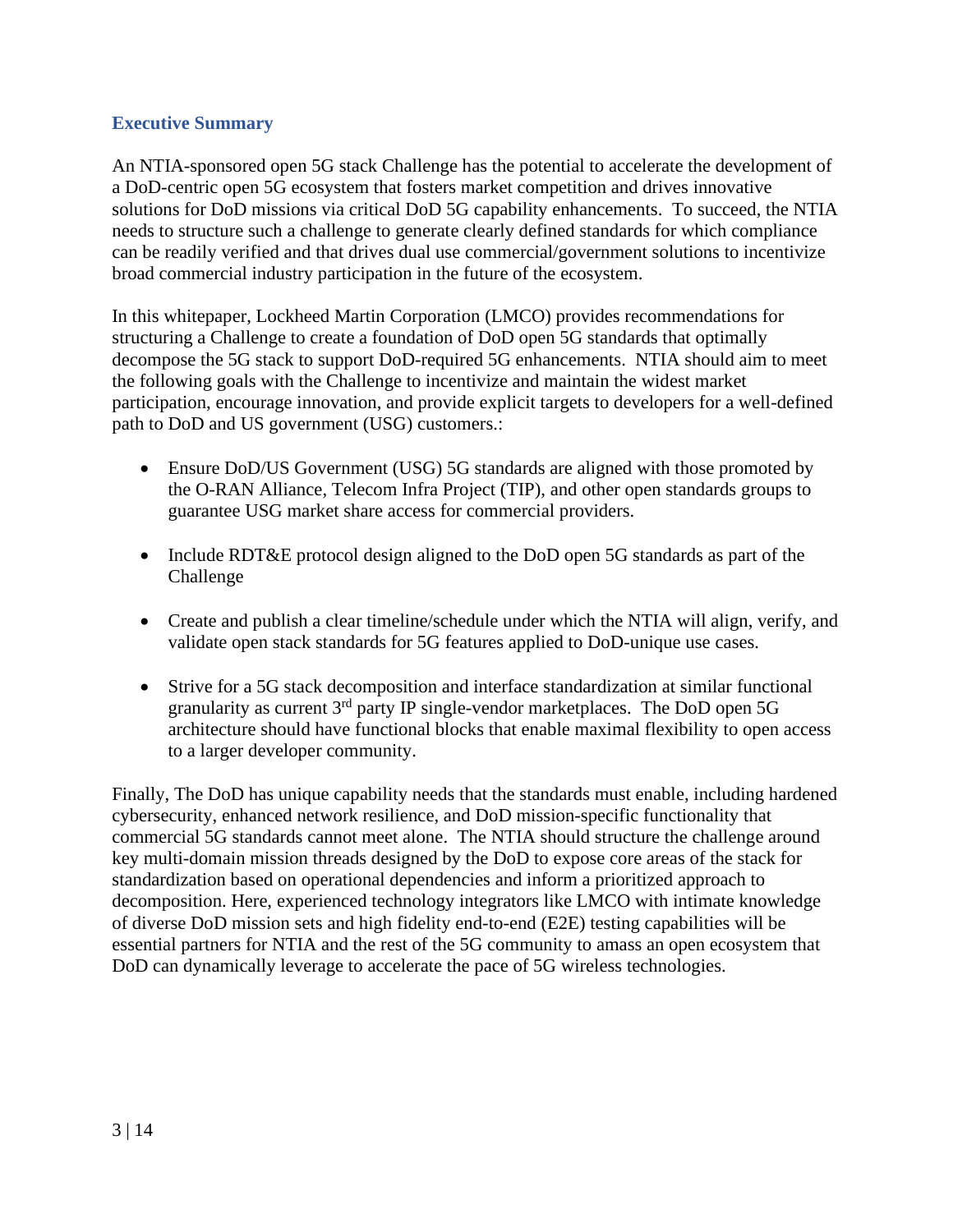#### <span id="page-2-0"></span>**Executive Summary**

An NTIA-sponsored open 5G stack Challenge has the potential to accelerate the development of a DoD-centric open 5G ecosystem that fosters market competition and drives innovative solutions for DoD missions via critical DoD 5G capability enhancements. To succeed, the NTIA needs to structure such a challenge to generate clearly defined standards for which compliance can be readily verified and that drives dual use commercial/government solutions to incentivize broad commercial industry participation in the future of the ecosystem.

In this whitepaper, Lockheed Martin Corporation (LMCO) provides recommendations for structuring a Challenge to create a foundation of DoD open 5G standards that optimally decompose the 5G stack to support DoD-required 5G enhancements. NTIA should aim to meet the following goals with the Challenge to incentivize and maintain the widest market participation, encourage innovation, and provide explicit targets to developers for a well-defined path to DoD and US government (USG) customers.:

- Ensure DoD/US Government (USG) 5G standards are aligned with those promoted by the O-RAN Alliance, Telecom Infra Project (TIP), and other open standards groups to guarantee USG market share access for commercial providers.
- Include RDT&E protocol design aligned to the DoD open 5G standards as part of the Challenge
- Create and publish a clear timeline/schedule under which the NTIA will align, verify, and validate open stack standards for 5G features applied to DoD-unique use cases.
- Strive for a 5G stack decomposition and interface standardization at similar functional granularity as current  $3<sup>rd</sup>$  party IP single-vendor marketplaces. The DoD open 5G architecture should have functional blocks that enable maximal flexibility to open access to a larger developer community.

Finally, The DoD has unique capability needs that the standards must enable, including hardened cybersecurity, enhanced network resilience, and DoD mission-specific functionality that commercial 5G standards cannot meet alone. The NTIA should structure the challenge around key multi-domain mission threads designed by the DoD to expose core areas of the stack for standardization based on operational dependencies and inform a prioritized approach to decomposition. Here, experienced technology integrators like LMCO with intimate knowledge of diverse DoD mission sets and high fidelity end-to-end (E2E) testing capabilities will be essential partners for NTIA and the rest of the 5G community to amass an open ecosystem that DoD can dynamically leverage to accelerate the pace of 5G wireless technologies.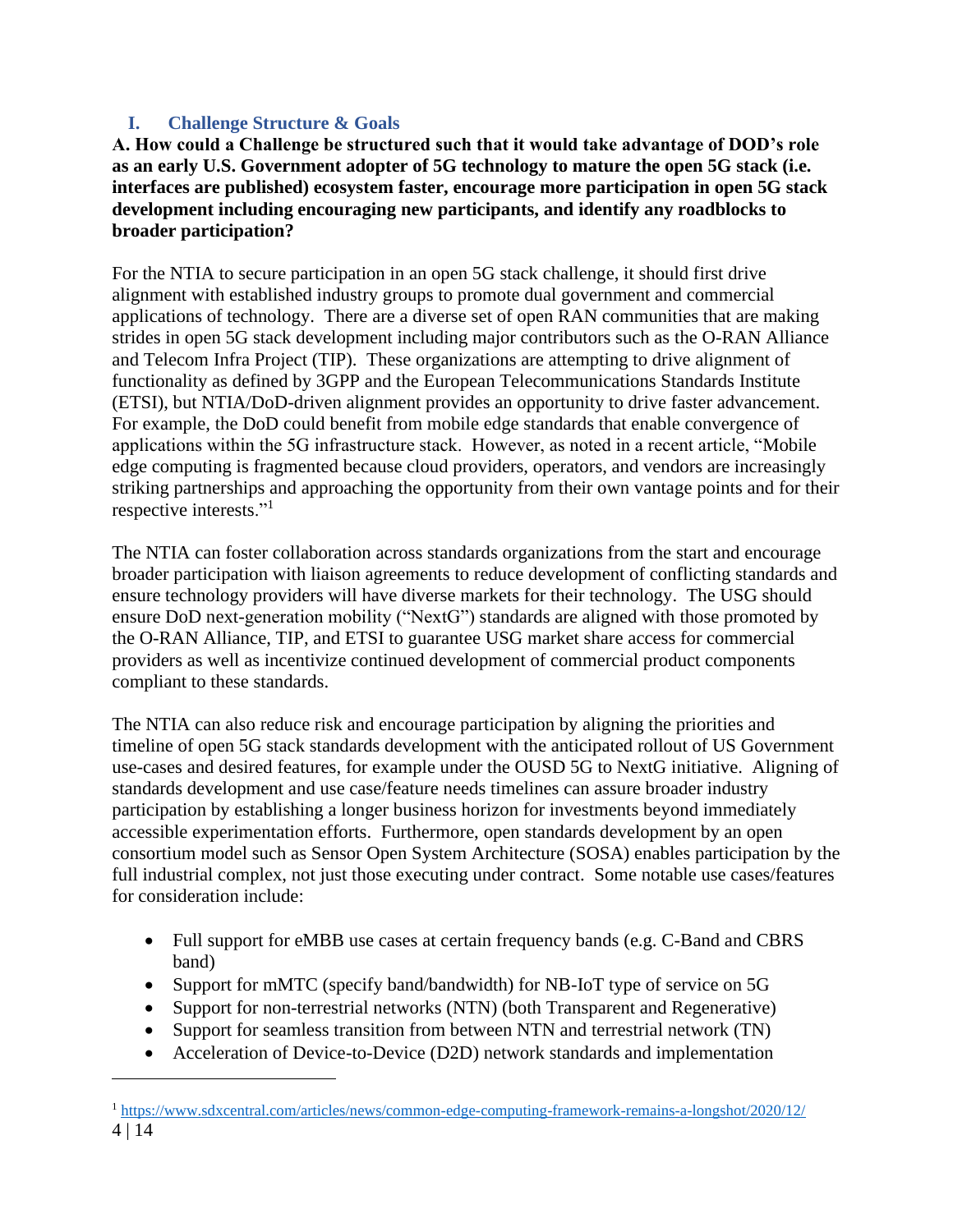## <span id="page-3-0"></span>**I. Challenge Structure & Goals**

**A. How could a Challenge be structured such that it would take advantage of DOD's role as an early U.S. Government adopter of 5G technology to mature the open 5G stack (i.e. interfaces are published) ecosystem faster, encourage more participation in open 5G stack development including encouraging new participants, and identify any roadblocks to broader participation?**

For the NTIA to secure participation in an open 5G stack challenge, it should first drive alignment with established industry groups to promote dual government and commercial applications of technology. There are a diverse set of open RAN communities that are making strides in open 5G stack development including major contributors such as the O-RAN Alliance and Telecom Infra Project (TIP). These organizations are attempting to drive alignment of functionality as defined by 3GPP and the European Telecommunications Standards Institute (ETSI), but NTIA/DoD-driven alignment provides an opportunity to drive faster advancement. For example, the DoD could benefit from mobile edge standards that enable convergence of applications within the 5G infrastructure stack. However, as noted in a recent article, "Mobile edge computing is fragmented because cloud providers, operators, and vendors are increasingly striking partnerships and approaching the opportunity from their own vantage points and for their respective interests."<sup>1</sup>

The NTIA can foster collaboration across standards organizations from the start and encourage broader participation with liaison agreements to reduce development of conflicting standards and ensure technology providers will have diverse markets for their technology. The USG should ensure DoD next-generation mobility ("NextG") standards are aligned with those promoted by the O-RAN Alliance, TIP, and ETSI to guarantee USG market share access for commercial providers as well as incentivize continued development of commercial product components compliant to these standards.

The NTIA can also reduce risk and encourage participation by aligning the priorities and timeline of open 5G stack standards development with the anticipated rollout of US Government use-cases and desired features, for example under the OUSD 5G to NextG initiative. Aligning of standards development and use case/feature needs timelines can assure broader industry participation by establishing a longer business horizon for investments beyond immediately accessible experimentation efforts. Furthermore, open standards development by an open consortium model such as Sensor Open System Architecture (SOSA) enables participation by the full industrial complex, not just those executing under contract. Some notable use cases/features for consideration include:

- Full support for eMBB use cases at certain frequency bands (e.g. C-Band and CBRS band)
- Support for mMTC (specify band/bandwidth) for NB-IoT type of service on 5G
- Support for non-terrestrial networks (NTN) (both Transparent and Regenerative)
- Support for seamless transition from between NTN and terrestrial network (TN)
- Acceleration of Device-to-Device (D2D) network standards and implementation

<sup>4</sup> | 14 <sup>1</sup> <https://www.sdxcentral.com/articles/news/common-edge-computing-framework-remains-a-longshot/2020/12/>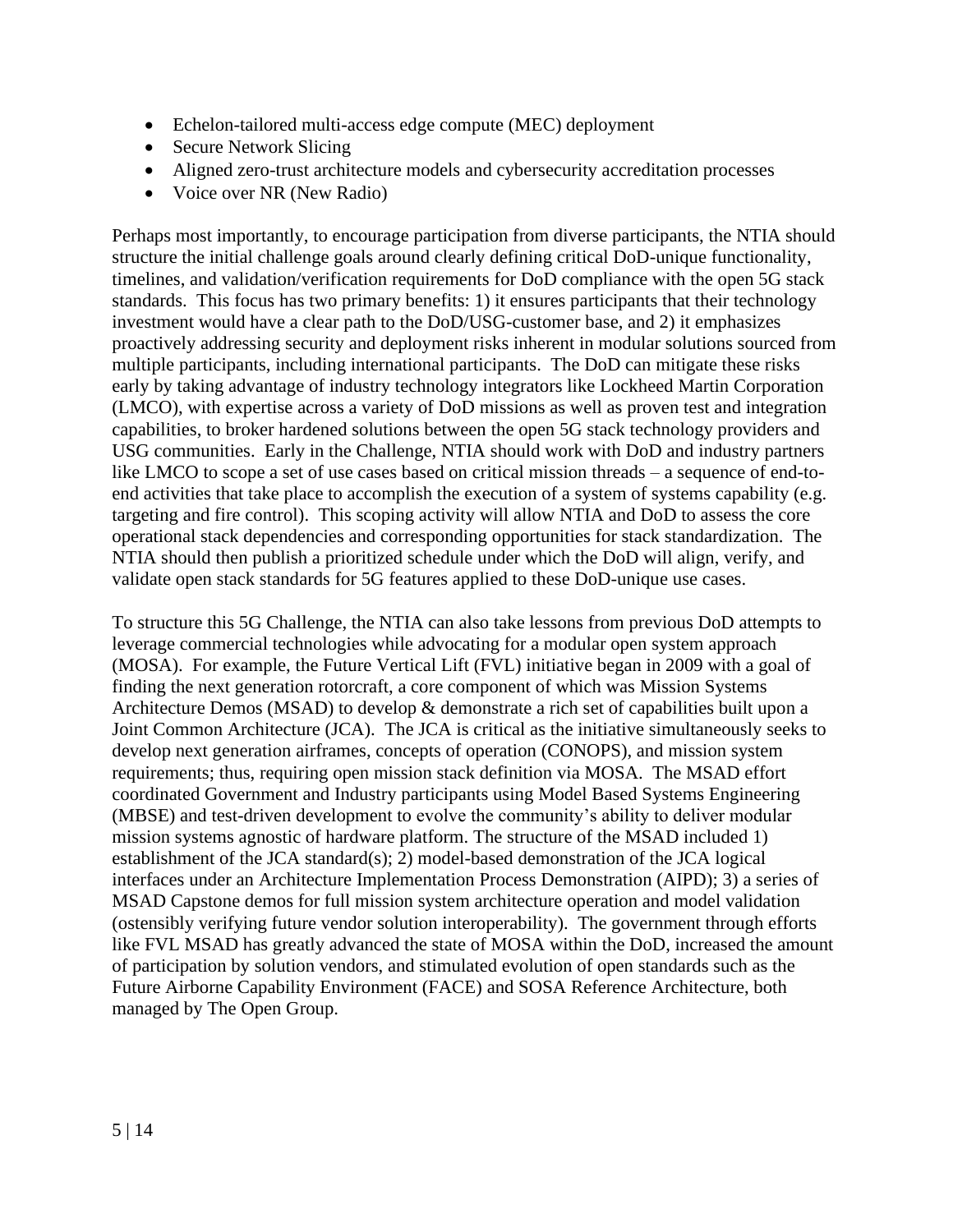- Echelon-tailored multi-access edge compute (MEC) deployment
- Secure Network Slicing
- Aligned zero-trust architecture models and cybersecurity accreditation processes
- Voice over NR (New Radio)

Perhaps most importantly, to encourage participation from diverse participants, the NTIA should structure the initial challenge goals around clearly defining critical DoD-unique functionality, timelines, and validation/verification requirements for DoD compliance with the open 5G stack standards. This focus has two primary benefits: 1) it ensures participants that their technology investment would have a clear path to the DoD/USG-customer base, and 2) it emphasizes proactively addressing security and deployment risks inherent in modular solutions sourced from multiple participants, including international participants. The DoD can mitigate these risks early by taking advantage of industry technology integrators like Lockheed Martin Corporation (LMCO), with expertise across a variety of DoD missions as well as proven test and integration capabilities, to broker hardened solutions between the open 5G stack technology providers and USG communities. Early in the Challenge, NTIA should work with DoD and industry partners like LMCO to scope a set of use cases based on critical mission threads – a sequence of end-toend activities that take place to accomplish the execution of a system of systems capability (e.g. targeting and fire control). This scoping activity will allow NTIA and DoD to assess the core operational stack dependencies and corresponding opportunities for stack standardization. The NTIA should then publish a prioritized schedule under which the DoD will align, verify, and validate open stack standards for 5G features applied to these DoD-unique use cases.

To structure this 5G Challenge, the NTIA can also take lessons from previous DoD attempts to leverage commercial technologies while advocating for a modular open system approach (MOSA). For example, the Future Vertical Lift (FVL) initiative began in 2009 with a goal of finding the next generation rotorcraft, a core component of which was Mission Systems Architecture Demos (MSAD) to develop & demonstrate a rich set of capabilities built upon a Joint Common Architecture (JCA). The JCA is critical as the initiative simultaneously seeks to develop next generation airframes, concepts of operation (CONOPS), and mission system requirements; thus, requiring open mission stack definition via MOSA. The MSAD effort coordinated Government and Industry participants using Model Based Systems Engineering (MBSE) and test-driven development to evolve the community's ability to deliver modular mission systems agnostic of hardware platform. The structure of the MSAD included 1) establishment of the JCA standard(s); 2) model-based demonstration of the JCA logical interfaces under an Architecture Implementation Process Demonstration (AIPD); 3) a series of MSAD Capstone demos for full mission system architecture operation and model validation (ostensibly verifying future vendor solution interoperability). The government through efforts like FVL MSAD has greatly advanced the state of MOSA within the DoD, increased the amount of participation by solution vendors, and stimulated evolution of open standards such as the Future Airborne Capability Environment (FACE) and SOSA Reference Architecture, both managed by The Open Group.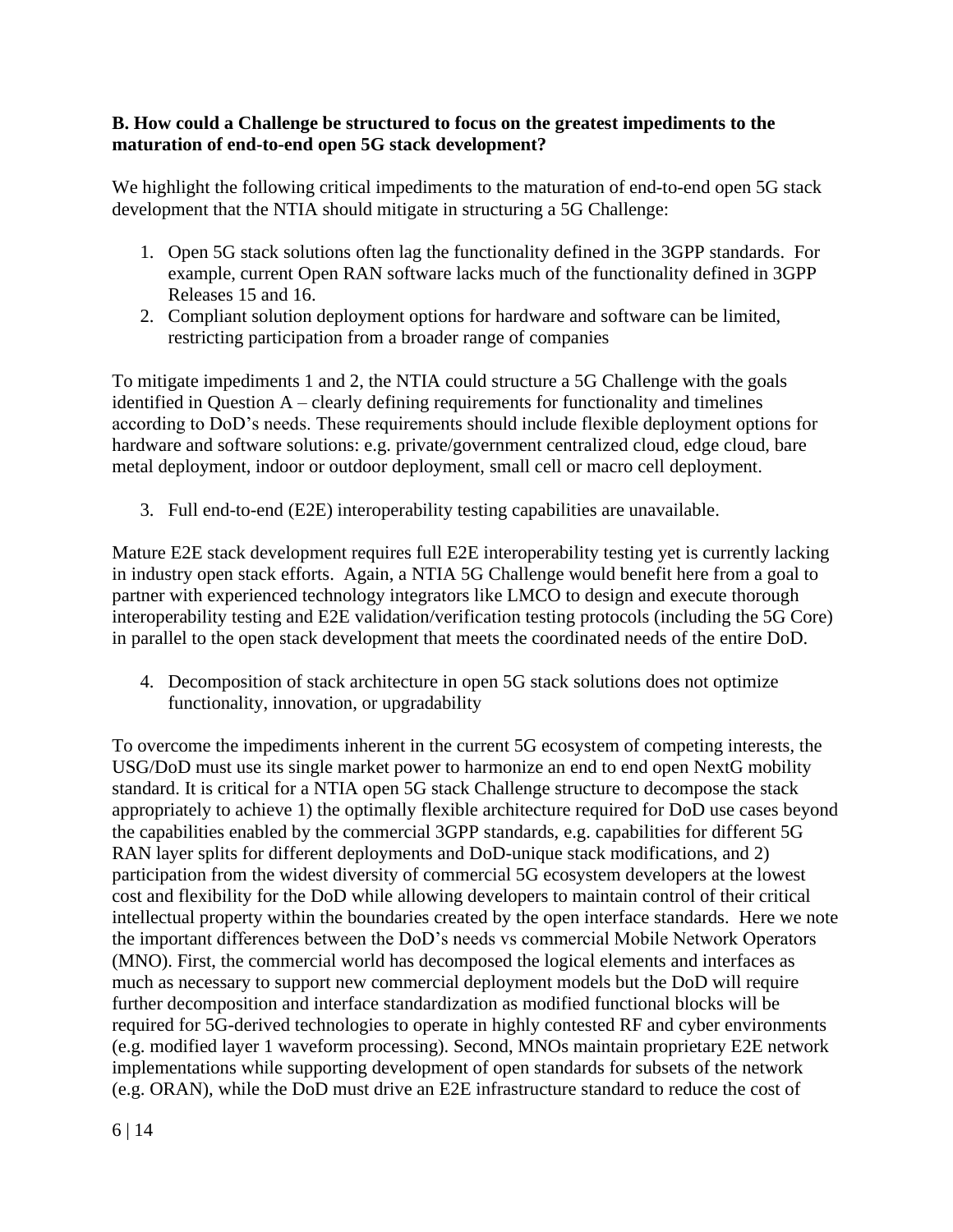#### **B. How could a Challenge be structured to focus on the greatest impediments to the maturation of end-to-end open 5G stack development?**

We highlight the following critical impediments to the maturation of end-to-end open 5G stack development that the NTIA should mitigate in structuring a 5G Challenge:

- 1. Open 5G stack solutions often lag the functionality defined in the 3GPP standards. For example, current Open RAN software lacks much of the functionality defined in 3GPP Releases 15 and 16.
- 2. Compliant solution deployment options for hardware and software can be limited, restricting participation from a broader range of companies

To mitigate impediments 1 and 2, the NTIA could structure a 5G Challenge with the goals identified in Question A – clearly defining requirements for functionality and timelines according to DoD's needs. These requirements should include flexible deployment options for hardware and software solutions: e.g. private/government centralized cloud, edge cloud, bare metal deployment, indoor or outdoor deployment, small cell or macro cell deployment.

3. Full end-to-end (E2E) interoperability testing capabilities are unavailable.

Mature E2E stack development requires full E2E interoperability testing yet is currently lacking in industry open stack efforts. Again, a NTIA 5G Challenge would benefit here from a goal to partner with experienced technology integrators like LMCO to design and execute thorough interoperability testing and E2E validation/verification testing protocols (including the 5G Core) in parallel to the open stack development that meets the coordinated needs of the entire DoD.

4. Decomposition of stack architecture in open 5G stack solutions does not optimize functionality, innovation, or upgradability

To overcome the impediments inherent in the current 5G ecosystem of competing interests, the USG/DoD must use its single market power to harmonize an end to end open NextG mobility standard. It is critical for a NTIA open 5G stack Challenge structure to decompose the stack appropriately to achieve 1) the optimally flexible architecture required for DoD use cases beyond the capabilities enabled by the commercial 3GPP standards, e.g. capabilities for different 5G RAN layer splits for different deployments and DoD-unique stack modifications, and 2) participation from the widest diversity of commercial 5G ecosystem developers at the lowest cost and flexibility for the DoD while allowing developers to maintain control of their critical intellectual property within the boundaries created by the open interface standards. Here we note the important differences between the DoD's needs vs commercial Mobile Network Operators (MNO). First, the commercial world has decomposed the logical elements and interfaces as much as necessary to support new commercial deployment models but the DoD will require further decomposition and interface standardization as modified functional blocks will be required for 5G-derived technologies to operate in highly contested RF and cyber environments (e.g. modified layer 1 waveform processing). Second, MNOs maintain proprietary E2E network implementations while supporting development of open standards for subsets of the network (e.g. ORAN), while the DoD must drive an E2E infrastructure standard to reduce the cost of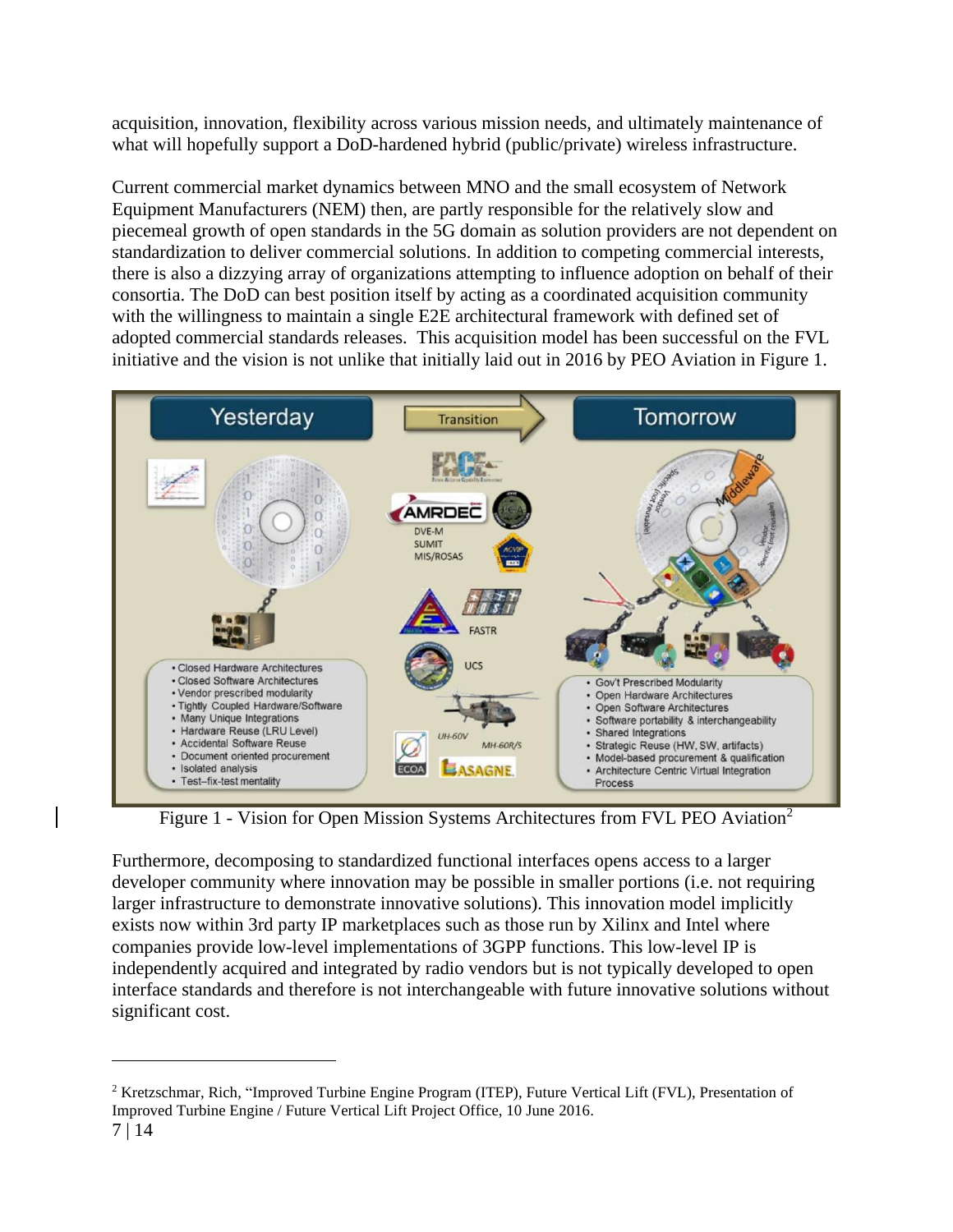acquisition, innovation, flexibility across various mission needs, and ultimately maintenance of what will hopefully support a DoD-hardened hybrid (public/private) wireless infrastructure.

Current commercial market dynamics between MNO and the small ecosystem of Network Equipment Manufacturers (NEM) then, are partly responsible for the relatively slow and piecemeal growth of open standards in the 5G domain as solution providers are not dependent on standardization to deliver commercial solutions. In addition to competing commercial interests, there is also a dizzying array of organizations attempting to influence adoption on behalf of their consortia. The DoD can best position itself by acting as a coordinated acquisition community with the willingness to maintain a single E2E architectural framework with defined set of adopted commercial standards releases. This acquisition model has been successful on the FVL initiative and the vision is not unlike that initially laid out in 2016 by PEO Aviation in Figure 1.



Figure 1 - Vision for Open Mission Systems Architectures from FVL PEO Aviation<sup>2</sup>

Furthermore, decomposing to standardized functional interfaces opens access to a larger developer community where innovation may be possible in smaller portions (i.e. not requiring larger infrastructure to demonstrate innovative solutions). This innovation model implicitly exists now within 3rd party IP marketplaces such as those run by Xilinx and Intel where companies provide low-level implementations of 3GPP functions. This low-level IP is independently acquired and integrated by radio vendors but is not typically developed to open interface standards and therefore is not interchangeable with future innovative solutions without significant cost.

<sup>2</sup> Kretzschmar, Rich, "Improved Turbine Engine Program (ITEP), Future Vertical Lift (FVL), Presentation of Improved Turbine Engine / Future Vertical Lift Project Office, 10 June 2016.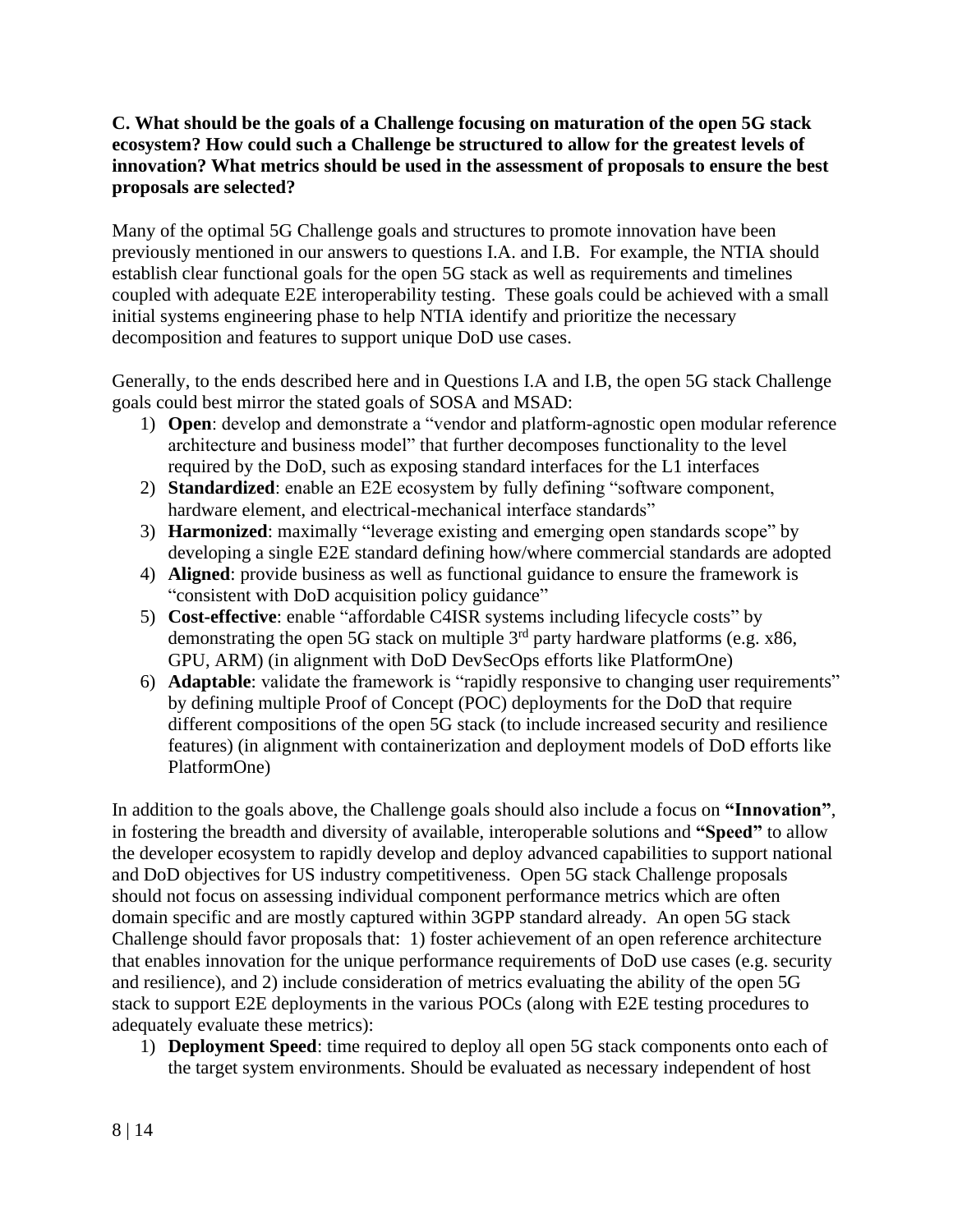#### **C. What should be the goals of a Challenge focusing on maturation of the open 5G stack ecosystem? How could such a Challenge be structured to allow for the greatest levels of innovation? What metrics should be used in the assessment of proposals to ensure the best proposals are selected?**

Many of the optimal 5G Challenge goals and structures to promote innovation have been previously mentioned in our answers to questions I.A. and I.B. For example, the NTIA should establish clear functional goals for the open 5G stack as well as requirements and timelines coupled with adequate E2E interoperability testing. These goals could be achieved with a small initial systems engineering phase to help NTIA identify and prioritize the necessary decomposition and features to support unique DoD use cases.

Generally, to the ends described here and in Questions I.A and I.B, the open 5G stack Challenge goals could best mirror the stated goals of SOSA and MSAD:

- 1) **Open**: develop and demonstrate a "vendor and platform-agnostic open modular reference architecture and business model" that further decomposes functionality to the level required by the DoD, such as exposing standard interfaces for the L1 interfaces
- 2) **Standardized**: enable an E2E ecosystem by fully defining "software component, hardware element, and electrical-mechanical interface standards"
- 3) **Harmonized**: maximally "leverage existing and emerging open standards scope" by developing a single E2E standard defining how/where commercial standards are adopted
- 4) **Aligned**: provide business as well as functional guidance to ensure the framework is "consistent with DoD acquisition policy guidance"
- 5) **Cost-effective**: enable "affordable C4ISR systems including lifecycle costs" by demonstrating the open 5G stack on multiple  $3<sup>rd</sup>$  party hardware platforms (e.g. x86, GPU, ARM) (in alignment with DoD DevSecOps efforts like PlatformOne)
- 6) **Adaptable**: validate the framework is "rapidly responsive to changing user requirements" by defining multiple Proof of Concept (POC) deployments for the DoD that require different compositions of the open 5G stack (to include increased security and resilience features) (in alignment with containerization and deployment models of DoD efforts like PlatformOne)

In addition to the goals above, the Challenge goals should also include a focus on **"Innovation"**, in fostering the breadth and diversity of available, interoperable solutions and **"Speed"** to allow the developer ecosystem to rapidly develop and deploy advanced capabilities to support national and DoD objectives for US industry competitiveness. Open 5G stack Challenge proposals should not focus on assessing individual component performance metrics which are often domain specific and are mostly captured within 3GPP standard already. An open 5G stack Challenge should favor proposals that: 1) foster achievement of an open reference architecture that enables innovation for the unique performance requirements of DoD use cases (e.g. security and resilience), and 2) include consideration of metrics evaluating the ability of the open 5G stack to support E2E deployments in the various POCs (along with E2E testing procedures to adequately evaluate these metrics):

1) **Deployment Speed**: time required to deploy all open 5G stack components onto each of the target system environments. Should be evaluated as necessary independent of host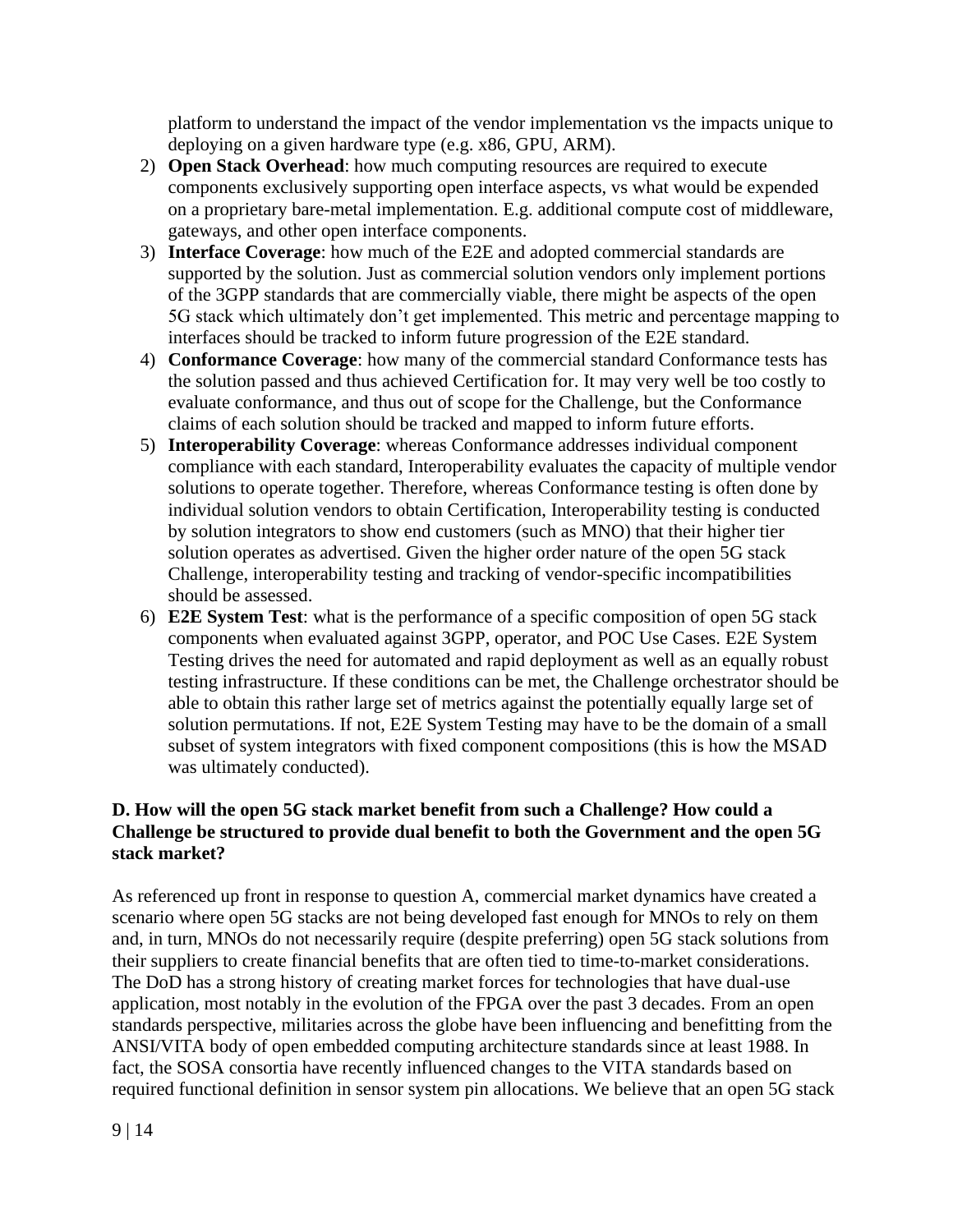platform to understand the impact of the vendor implementation vs the impacts unique to deploying on a given hardware type (e.g. x86, GPU, ARM).

- 2) **Open Stack Overhead**: how much computing resources are required to execute components exclusively supporting open interface aspects, vs what would be expended on a proprietary bare-metal implementation. E.g. additional compute cost of middleware, gateways, and other open interface components.
- 3) **Interface Coverage**: how much of the E2E and adopted commercial standards are supported by the solution. Just as commercial solution vendors only implement portions of the 3GPP standards that are commercially viable, there might be aspects of the open 5G stack which ultimately don't get implemented. This metric and percentage mapping to interfaces should be tracked to inform future progression of the E2E standard.
- 4) **Conformance Coverage**: how many of the commercial standard Conformance tests has the solution passed and thus achieved Certification for. It may very well be too costly to evaluate conformance, and thus out of scope for the Challenge, but the Conformance claims of each solution should be tracked and mapped to inform future efforts.
- 5) **Interoperability Coverage**: whereas Conformance addresses individual component compliance with each standard, Interoperability evaluates the capacity of multiple vendor solutions to operate together. Therefore, whereas Conformance testing is often done by individual solution vendors to obtain Certification, Interoperability testing is conducted by solution integrators to show end customers (such as MNO) that their higher tier solution operates as advertised. Given the higher order nature of the open 5G stack Challenge, interoperability testing and tracking of vendor-specific incompatibilities should be assessed.
- 6) **E2E System Test**: what is the performance of a specific composition of open 5G stack components when evaluated against 3GPP, operator, and POC Use Cases. E2E System Testing drives the need for automated and rapid deployment as well as an equally robust testing infrastructure. If these conditions can be met, the Challenge orchestrator should be able to obtain this rather large set of metrics against the potentially equally large set of solution permutations. If not, E2E System Testing may have to be the domain of a small subset of system integrators with fixed component compositions (this is how the MSAD was ultimately conducted).

#### **D. How will the open 5G stack market benefit from such a Challenge? How could a Challenge be structured to provide dual benefit to both the Government and the open 5G stack market?**

As referenced up front in response to question A, commercial market dynamics have created a scenario where open 5G stacks are not being developed fast enough for MNOs to rely on them and, in turn, MNOs do not necessarily require (despite preferring) open 5G stack solutions from their suppliers to create financial benefits that are often tied to time-to-market considerations. The DoD has a strong history of creating market forces for technologies that have dual-use application, most notably in the evolution of the FPGA over the past 3 decades. From an open standards perspective, militaries across the globe have been influencing and benefitting from the ANSI/VITA body of open embedded computing architecture standards since at least 1988. In fact, the SOSA consortia have recently influenced changes to the VITA standards based on required functional definition in sensor system pin allocations. We believe that an open 5G stack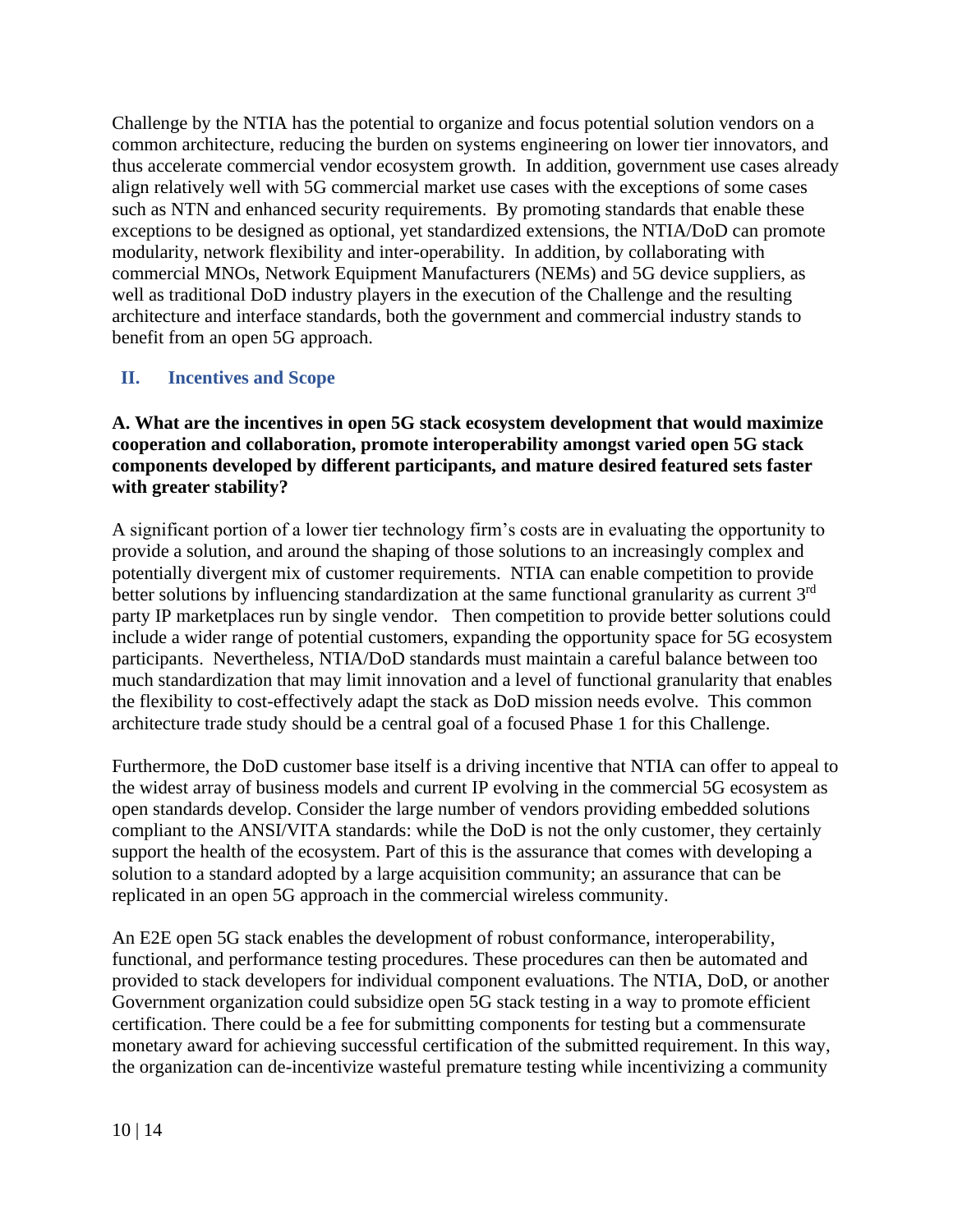Challenge by the NTIA has the potential to organize and focus potential solution vendors on a common architecture, reducing the burden on systems engineering on lower tier innovators, and thus accelerate commercial vendor ecosystem growth. In addition, government use cases already align relatively well with 5G commercial market use cases with the exceptions of some cases such as NTN and enhanced security requirements. By promoting standards that enable these exceptions to be designed as optional, yet standardized extensions, the NTIA/DoD can promote modularity, network flexibility and inter-operability. In addition, by collaborating with commercial MNOs, Network Equipment Manufacturers (NEMs) and 5G device suppliers, as well as traditional DoD industry players in the execution of the Challenge and the resulting architecture and interface standards, both the government and commercial industry stands to benefit from an open 5G approach.

### <span id="page-9-0"></span>**II. Incentives and Scope**

#### **A. What are the incentives in open 5G stack ecosystem development that would maximize cooperation and collaboration, promote interoperability amongst varied open 5G stack components developed by different participants, and mature desired featured sets faster with greater stability?**

A significant portion of a lower tier technology firm's costs are in evaluating the opportunity to provide a solution, and around the shaping of those solutions to an increasingly complex and potentially divergent mix of customer requirements. NTIA can enable competition to provide better solutions by influencing standardization at the same functional granularity as current  $3<sup>rd</sup>$ party IP marketplaces run by single vendor. Then competition to provide better solutions could include a wider range of potential customers, expanding the opportunity space for 5G ecosystem participants. Nevertheless, NTIA/DoD standards must maintain a careful balance between too much standardization that may limit innovation and a level of functional granularity that enables the flexibility to cost-effectively adapt the stack as DoD mission needs evolve. This common architecture trade study should be a central goal of a focused Phase 1 for this Challenge.

Furthermore, the DoD customer base itself is a driving incentive that NTIA can offer to appeal to the widest array of business models and current IP evolving in the commercial 5G ecosystem as open standards develop. Consider the large number of vendors providing embedded solutions compliant to the ANSI/VITA standards: while the DoD is not the only customer, they certainly support the health of the ecosystem. Part of this is the assurance that comes with developing a solution to a standard adopted by a large acquisition community; an assurance that can be replicated in an open 5G approach in the commercial wireless community.

An E2E open 5G stack enables the development of robust conformance, interoperability, functional, and performance testing procedures. These procedures can then be automated and provided to stack developers for individual component evaluations. The NTIA, DoD, or another Government organization could subsidize open 5G stack testing in a way to promote efficient certification. There could be a fee for submitting components for testing but a commensurate monetary award for achieving successful certification of the submitted requirement. In this way, the organization can de-incentivize wasteful premature testing while incentivizing a community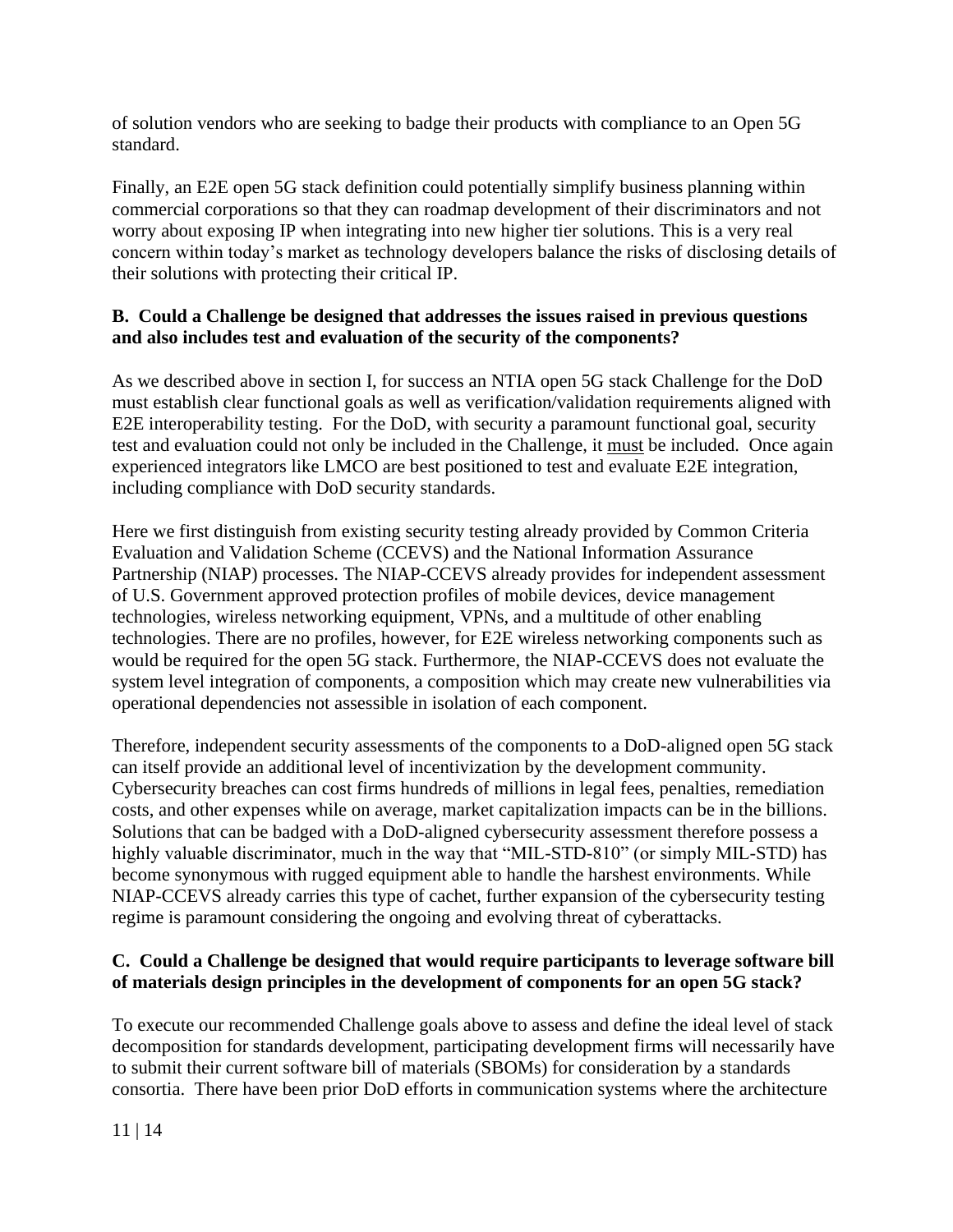of solution vendors who are seeking to badge their products with compliance to an Open 5G standard.

Finally, an E2E open 5G stack definition could potentially simplify business planning within commercial corporations so that they can roadmap development of their discriminators and not worry about exposing IP when integrating into new higher tier solutions. This is a very real concern within today's market as technology developers balance the risks of disclosing details of their solutions with protecting their critical IP.

#### **B. Could a Challenge be designed that addresses the issues raised in previous questions and also includes test and evaluation of the security of the components?**

As we described above in section I, for success an NTIA open 5G stack Challenge for the DoD must establish clear functional goals as well as verification/validation requirements aligned with E2E interoperability testing. For the DoD, with security a paramount functional goal, security test and evaluation could not only be included in the Challenge, it must be included. Once again experienced integrators like LMCO are best positioned to test and evaluate E2E integration, including compliance with DoD security standards.

Here we first distinguish from existing security testing already provided by Common Criteria Evaluation and Validation Scheme (CCEVS) and the National Information Assurance Partnership (NIAP) processes. The NIAP-CCEVS already provides for independent assessment of U.S. Government approved protection profiles of mobile devices, device management technologies, wireless networking equipment, VPNs, and a multitude of other enabling technologies. There are no profiles, however, for E2E wireless networking components such as would be required for the open 5G stack. Furthermore, the NIAP-CCEVS does not evaluate the system level integration of components, a composition which may create new vulnerabilities via operational dependencies not assessible in isolation of each component.

Therefore, independent security assessments of the components to a DoD-aligned open 5G stack can itself provide an additional level of incentivization by the development community. Cybersecurity breaches can cost firms hundreds of millions in legal fees, penalties, remediation costs, and other expenses while on average, market capitalization impacts can be in the billions. Solutions that can be badged with a DoD-aligned cybersecurity assessment therefore possess a highly valuable discriminator, much in the way that "MIL-STD-810" (or simply MIL-STD) has become synonymous with rugged equipment able to handle the harshest environments. While NIAP-CCEVS already carries this type of cachet, further expansion of the cybersecurity testing regime is paramount considering the ongoing and evolving threat of cyberattacks.

#### **C. Could a Challenge be designed that would require participants to leverage software bill of materials design principles in the development of components for an open 5G stack?**

To execute our recommended Challenge goals above to assess and define the ideal level of stack decomposition for standards development, participating development firms will necessarily have to submit their current software bill of materials (SBOMs) for consideration by a standards consortia. There have been prior DoD efforts in communication systems where the architecture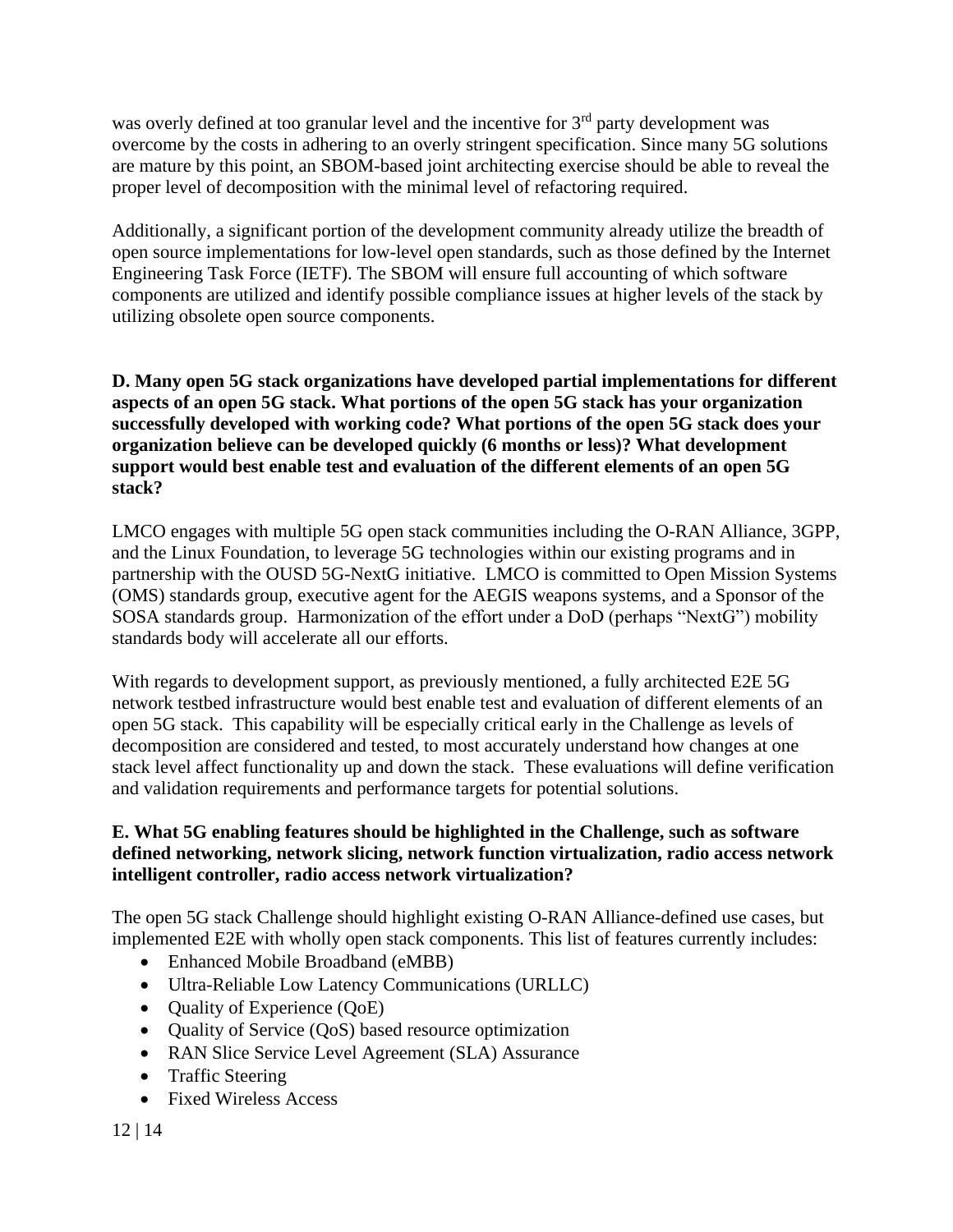was overly defined at too granular level and the incentive for 3<sup>rd</sup> party development was overcome by the costs in adhering to an overly stringent specification. Since many 5G solutions are mature by this point, an SBOM-based joint architecting exercise should be able to reveal the proper level of decomposition with the minimal level of refactoring required.

Additionally, a significant portion of the development community already utilize the breadth of open source implementations for low-level open standards, such as those defined by the Internet Engineering Task Force (IETF). The SBOM will ensure full accounting of which software components are utilized and identify possible compliance issues at higher levels of the stack by utilizing obsolete open source components.

**D. Many open 5G stack organizations have developed partial implementations for different aspects of an open 5G stack. What portions of the open 5G stack has your organization successfully developed with working code? What portions of the open 5G stack does your organization believe can be developed quickly (6 months or less)? What development support would best enable test and evaluation of the different elements of an open 5G stack?**

LMCO engages with multiple 5G open stack communities including the O-RAN Alliance, 3GPP, and the Linux Foundation, to leverage 5G technologies within our existing programs and in partnership with the OUSD 5G-NextG initiative. LMCO is committed to Open Mission Systems (OMS) standards group, executive agent for the AEGIS weapons systems, and a Sponsor of the SOSA standards group. Harmonization of the effort under a DoD (perhaps "NextG") mobility standards body will accelerate all our efforts.

With regards to development support, as previously mentioned, a fully architected E2E 5G network testbed infrastructure would best enable test and evaluation of different elements of an open 5G stack. This capability will be especially critical early in the Challenge as levels of decomposition are considered and tested, to most accurately understand how changes at one stack level affect functionality up and down the stack. These evaluations will define verification and validation requirements and performance targets for potential solutions.

### **E. What 5G enabling features should be highlighted in the Challenge, such as software defined networking, network slicing, network function virtualization, radio access network intelligent controller, radio access network virtualization?**

The open 5G stack Challenge should highlight existing O-RAN Alliance-defined use cases, but implemented E2E with wholly open stack components. This list of features currently includes:

- Enhanced Mobile Broadband (eMBB)
- Ultra-Reliable Low Latency Communications (URLLC)
- Quality of Experience (QoE)
- Quality of Service (QoS) based resource optimization
- RAN Slice Service Level Agreement (SLA) Assurance
- Traffic Steering
- Fixed Wireless Access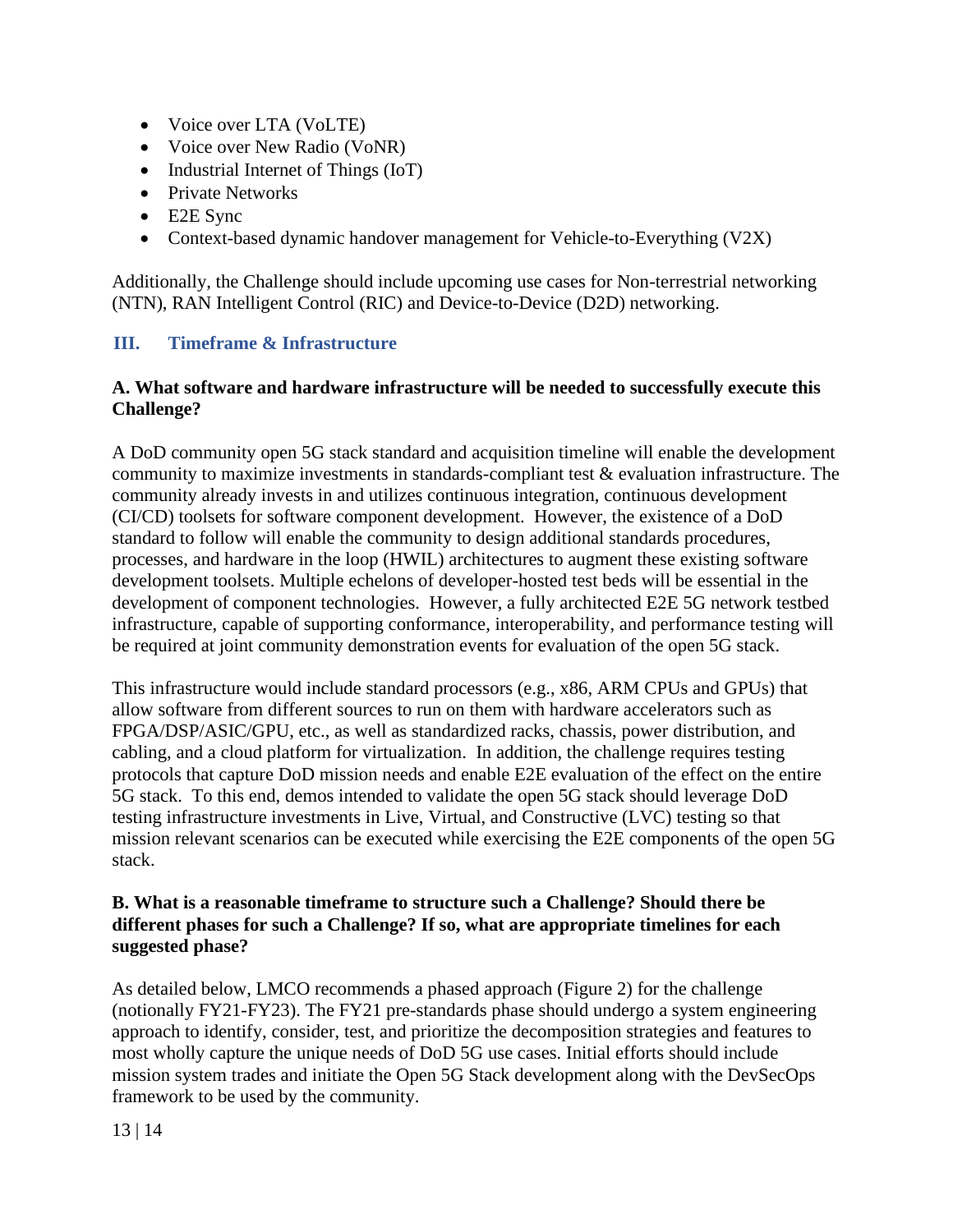- Voice over LTA (VoLTE)
- Voice over New Radio (VoNR)
- Industrial Internet of Things (IoT)
- Private Networks
- E2E Sync
- Context-based dynamic handover management for Vehicle-to-Everything (V2X)

<span id="page-12-0"></span>Additionally, the Challenge should include upcoming use cases for Non-terrestrial networking (NTN), RAN Intelligent Control (RIC) and Device-to-Device (D2D) networking.

## **III. Timeframe & Infrastructure**

#### **A. What software and hardware infrastructure will be needed to successfully execute this Challenge?**

A DoD community open 5G stack standard and acquisition timeline will enable the development community to maximize investments in standards-compliant test & evaluation infrastructure. The community already invests in and utilizes continuous integration, continuous development (CI/CD) toolsets for software component development. However, the existence of a DoD standard to follow will enable the community to design additional standards procedures, processes, and hardware in the loop (HWIL) architectures to augment these existing software development toolsets. Multiple echelons of developer-hosted test beds will be essential in the development of component technologies. However, a fully architected E2E 5G network testbed infrastructure, capable of supporting conformance, interoperability, and performance testing will be required at joint community demonstration events for evaluation of the open 5G stack.

This infrastructure would include standard processors (e.g., x86, ARM CPUs and GPUs) that allow software from different sources to run on them with hardware accelerators such as FPGA/DSP/ASIC/GPU, etc., as well as standardized racks, chassis, power distribution, and cabling, and a cloud platform for virtualization. In addition, the challenge requires testing protocols that capture DoD mission needs and enable E2E evaluation of the effect on the entire 5G stack. To this end, demos intended to validate the open 5G stack should leverage DoD testing infrastructure investments in Live, Virtual, and Constructive (LVC) testing so that mission relevant scenarios can be executed while exercising the E2E components of the open 5G stack.

#### **B. What is a reasonable timeframe to structure such a Challenge? Should there be different phases for such a Challenge? If so, what are appropriate timelines for each suggested phase?**

As detailed below, LMCO recommends a phased approach (Figure 2) for the challenge (notionally FY21-FY23). The FY21 pre-standards phase should undergo a system engineering approach to identify, consider, test, and prioritize the decomposition strategies and features to most wholly capture the unique needs of DoD 5G use cases. Initial efforts should include mission system trades and initiate the Open 5G Stack development along with the DevSecOps framework to be used by the community.